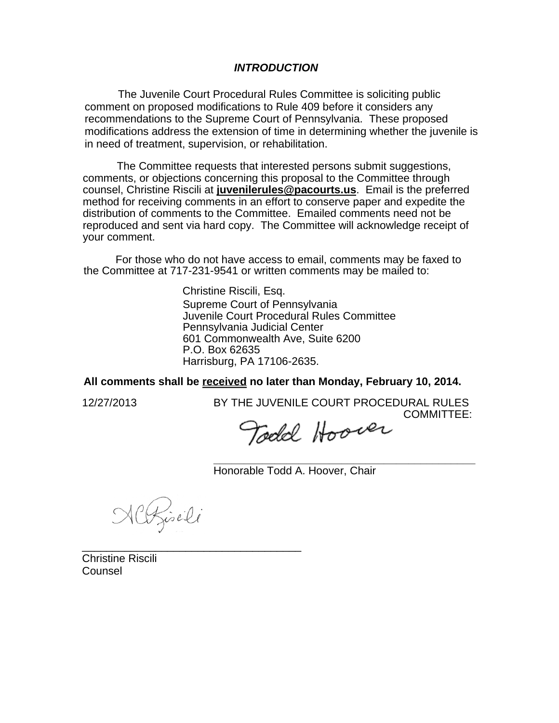## *INTRODUCTION*

The Juvenile Court Procedural Rules Committee is soliciting public comment on proposed modifications to Rule 409 before it considers any recommendations to the Supreme Court of Pennsylvania. These proposed modifications address the extension of time in determining whether the juvenile is in need of treatment, supervision, or rehabilitation.

The Committee requests that interested persons submit suggestions, comments, or objections concerning this proposal to the Committee through counsel, Christine Riscili at **juvenilerules@pacourts.us**. Email is the preferred method for receiving comments in an effort to conserve paper and expedite the distribution of comments to the Committee. Emailed comments need not be reproduced and sent via hard copy. The Committee will acknowledge receipt of your comment.

For those who do not have access to email, comments may be faxed to the Committee at 717-231-9541 or written comments may be mailed to:

> Christine Riscili, Esq. Supreme Court of Pennsylvania Juvenile Court Procedural Rules Committee Pennsylvania Judicial Center 601 Commonwealth Ave, Suite 6200 P.O. Box 62635 Harrisburg, PA 17106-2635.

**All comments shall be received no later than Monday, February 10, 2014.**

12/27/2013 BY THE JUVENILE COURT PROCEDURAL RULES COMMITTEE:

Todd Hoover

**\_\_\_\_\_\_\_\_\_\_\_\_\_\_\_\_\_\_\_\_\_\_\_\_\_\_\_\_\_\_\_\_\_\_\_\_\_\_\_\_\_\_\_**  Honorable Todd A. Hoover, Chair

NCRisili

\_\_\_\_\_\_\_\_\_\_\_\_\_\_\_\_\_\_\_\_\_\_\_\_\_\_\_\_\_\_\_\_\_\_\_\_ Christine Riscili **Counsel**